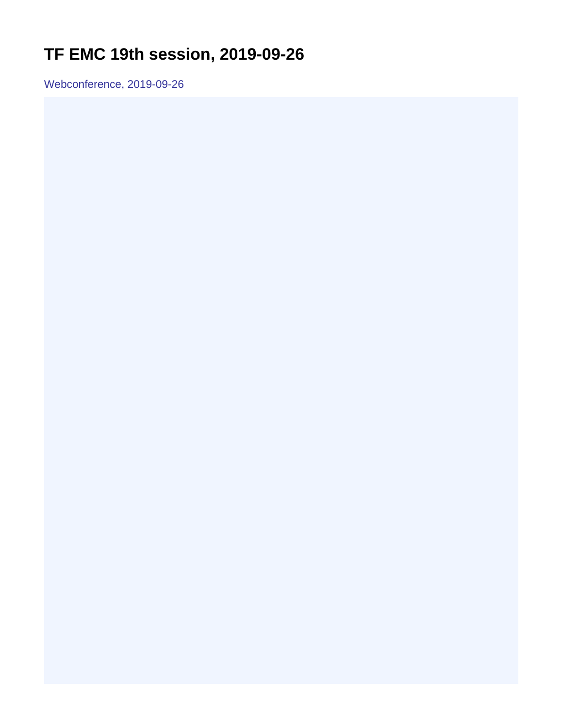## <span id="page-0-0"></span>**TF EMC 19th session, 2019-09-26**

Webconference, 2019-09-26